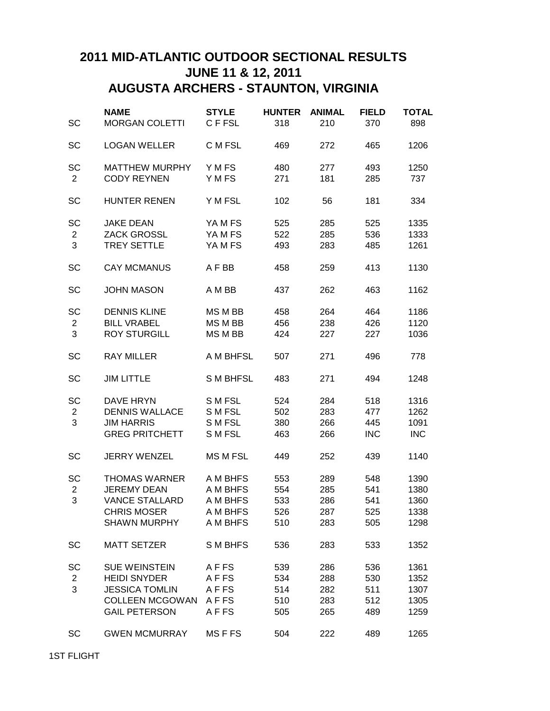## **2011 MID-ATLANTIC OUTDOOR SECTIONAL RESULTS JUNE 11 & 12, 2011 AUGUSTA ARCHERS - STAUNTON, VIRGINIA**

| SC                                 | <b>NAME</b><br><b>MORGAN COLETTI</b>                                                                                   | <b>STYLE</b><br>C F FSL                                  | <b>HUNTER</b><br>318            | <b>ANIMAL</b><br>210            | <b>FIELD</b><br>370             | <b>TOTAL</b><br>898                  |
|------------------------------------|------------------------------------------------------------------------------------------------------------------------|----------------------------------------------------------|---------------------------------|---------------------------------|---------------------------------|--------------------------------------|
| SC                                 | <b>LOGAN WELLER</b>                                                                                                    | C M FSL                                                  | 469                             | 272                             | 465                             | 1206                                 |
| SC<br>$\overline{c}$               | <b>MATTHEW MURPHY</b><br><b>CODY REYNEN</b>                                                                            | Y M FS<br>Y M FS                                         | 480<br>271                      | 277<br>181                      | 493<br>285                      | 1250<br>737                          |
| SC                                 | <b>HUNTER RENEN</b>                                                                                                    | Y M FSL                                                  | 102                             | 56                              | 181                             | 334                                  |
| <b>SC</b><br>$\overline{c}$<br>3   | <b>JAKE DEAN</b><br><b>ZACK GROSSL</b><br><b>TREY SETTLE</b>                                                           | YAMFS<br>YA M FS<br>YA M FS                              | 525<br>522<br>493               | 285<br>285<br>283               | 525<br>536<br>485               | 1335<br>1333<br>1261                 |
| SC                                 | <b>CAY MCMANUS</b>                                                                                                     | A F BB                                                   | 458                             | 259                             | 413                             | 1130                                 |
| SC                                 | <b>JOHN MASON</b>                                                                                                      | A M BB                                                   | 437                             | 262                             | 463                             | 1162                                 |
| SC<br>$\overline{\mathbf{c}}$<br>3 | <b>DENNIS KLINE</b><br><b>BILL VRABEL</b><br><b>ROY STURGILL</b>                                                       | MS M BB<br>MS M BB<br>MS M BB                            | 458<br>456<br>424               | 264<br>238<br>227               | 464<br>426<br>227               | 1186<br>1120<br>1036                 |
| SC                                 | <b>RAY MILLER</b>                                                                                                      | A M BHFSL                                                | 507                             | 271                             | 496                             | 778                                  |
| SC                                 | <b>JIM LITTLE</b>                                                                                                      | <b>SMBHFSL</b>                                           | 483                             | 271                             | 494                             | 1248                                 |
| <b>SC</b><br>$\overline{c}$<br>3   | DAVE HRYN<br><b>DENNIS WALLACE</b><br><b>JIM HARRIS</b><br><b>GREG PRITCHETT</b>                                       | S M FSL<br>S M FSL<br>S M FSL<br>S M FSL                 | 524<br>502<br>380<br>463        | 284<br>283<br>266<br>266        | 518<br>477<br>445<br><b>INC</b> | 1316<br>1262<br>1091<br><b>INC</b>   |
| SC                                 | <b>JERRY WENZEL</b>                                                                                                    | <b>MS M FSL</b>                                          | 449                             | 252                             | 439                             | 1140                                 |
| SC<br>$\overline{c}$<br>3          | <b>THOMAS WARNER</b><br><b>JEREMY DEAN</b><br><b>VANCE STALLARD</b><br><b>CHRIS MOSER</b><br><b>SHAWN MURPHY</b>       | A M BHFS<br>A M BHFS<br>A M BHFS<br>A M BHFS<br>A M BHFS | 553<br>554<br>533<br>526<br>510 | 289<br>285<br>286<br>287<br>283 | 548<br>541<br>541<br>525<br>505 | 1390<br>1380<br>1360<br>1338<br>1298 |
| <b>SC</b>                          | <b>MATT SETZER</b>                                                                                                     | S M BHFS                                                 | 536                             | 283                             | 533                             | 1352                                 |
| SC<br>$\overline{c}$<br>3          | <b>SUE WEINSTEIN</b><br><b>HEIDI SNYDER</b><br><b>JESSICA TOMLIN</b><br><b>COLLEEN MCGOWAN</b><br><b>GAIL PETERSON</b> | AFFS<br>AFFS<br>A F FS<br><b>AFFS</b><br>AFFS            | 539<br>534<br>514<br>510<br>505 | 286<br>288<br>282<br>283<br>265 | 536<br>530<br>511<br>512<br>489 | 1361<br>1352<br>1307<br>1305<br>1259 |
| <b>SC</b>                          | <b>GWEN MCMURRAY</b>                                                                                                   | <b>MSFFS</b>                                             | 504                             | 222                             | 489                             | 1265                                 |